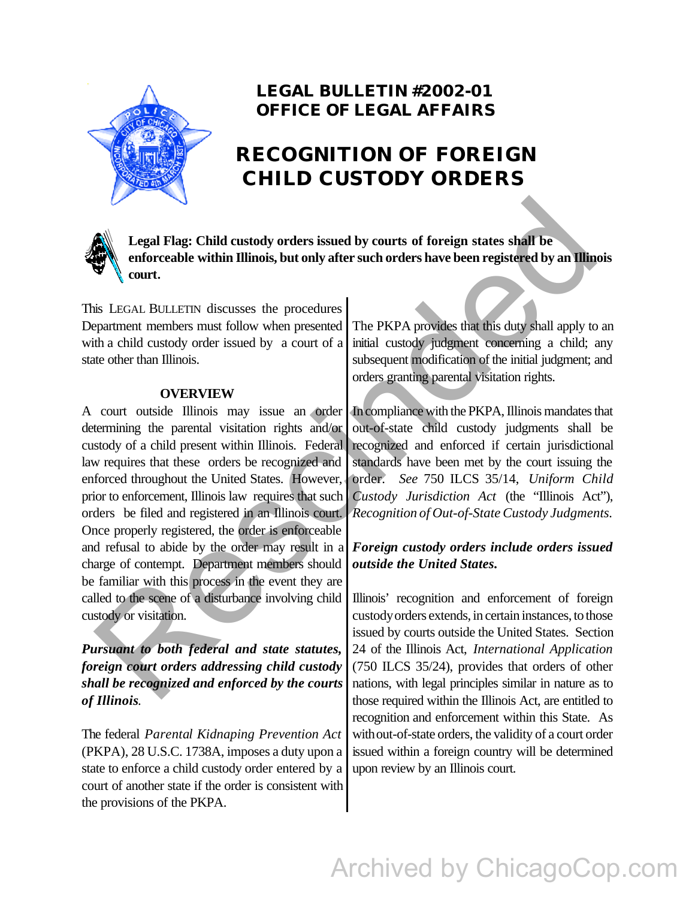

### **LEGAL BULLETIN #2002-01 OFFICE OF LEGAL AFFAIRS**

## **RECOGNITION OF FOREIGN CHILD CUSTODY ORDERS**



**Legal Flag: Child custody orders issued by courts of foreign states shall be enforceable within Illinois, but only after such orders have been registered by an Illinois court.**

This LEGAL BULLETIN discusses the procedures Department members must follow when presented with a child custody order issued by a court of a state other than Illinois.

#### **OVERVIEW**

A court outside Illinois may issue an order determining the parental visitation rights and/or custody of a child present within Illinois. Federal law requires that these orders be recognized and enforced throughout the United States. However, prior to enforcement, Illinois law requires that such orders be filed and registered in an Illinois court. Once properly registered, the order is enforceable and refusal to abide by the order may result in a charge of contempt. Department members should be familiar with this process in the event they are called to the scene of a disturbance involving child custody or visitation. Legal Flag: Child custody orders issued by courts of foreign states shall be<br>
enforceable within Illinois, but only after such orders have been registered by an Illinois<br>
is LEGAL BULLETIN discusses the procedures<br>
in cou

*Pursuant to both federal and state statutes, foreign court orders addressing child custody shall be recognized and enforced by the courts of Illinois*.

The federal *Parental Kidnaping Prevention Act* (PKPA), 28 U.S.C. 1738A, imposes a duty upon a state to enforce a child custody order entered by a court of another state if the order is consistent with the provisions of the PKPA.

The PKPA provides that this duty shall apply to an initial custody judgment concerning a child; any subsequent modification of the initial judgment; and orders granting parental visitation rights.

In compliance with the PKPA, Illinois mandates that out-of-state child custody judgments shall be recognized and enforced if certain jurisdictional standards have been met by the court issuing the order. *See* 750 ILCS 35/14, *Uniform Child Custody Jurisdiction Act* (the "Illinois Act"), *Recognition of Out-of-State Custody Judgments.*

#### *Foreign custody orders include orders issued outside the United States.*

Illinois' recognition and enforcement of foreign custody orders extends, in certain instances, to those issued by courts outside the United States. Section 24 of the Illinois Act, *International Application* (750 ILCS 35/24), provides that orders of other nations, with legal principles similar in nature as to those required within the Illinois Act, are entitled to recognition and enforcement within this State. As with out-of-state orders, the validity of a court order issued within a foreign country will be determined upon review by an Illinois court.

# Archived by ChicagoCop.com